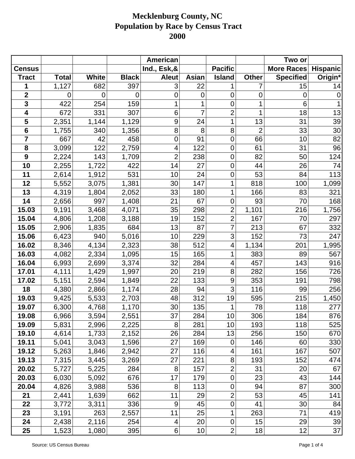|                         |              |                |              | American       |                |                  |                | Two or            |                 |
|-------------------------|--------------|----------------|--------------|----------------|----------------|------------------|----------------|-------------------|-----------------|
| <b>Census</b>           |              |                |              | Ind., Esk,&    |                | <b>Pacific</b>   |                | <b>More Races</b> | <b>Hispanic</b> |
| <b>Tract</b>            | <b>Total</b> | <b>White</b>   | <b>Black</b> | <b>Aleut</b>   | Asian          | <b>Island</b>    | <b>Other</b>   | <b>Specified</b>  | Origin*         |
| 1                       | 1,127        | 682            | 397          | 3              | 22             |                  |                | 15                | 14              |
| $\mathbf{2}$            | 0            | $\overline{0}$ | $\mathbf 0$  | 0              | 0              | $\mathbf 0$      | 0              | 0                 | $\overline{0}$  |
| $\overline{\mathbf{3}}$ | 422          | 254            | 159          | 1              |                | $\overline{0}$   | 1              | 6                 |                 |
| $\overline{\mathbf{4}}$ | 672          | 331            | 307          | 6              | $\overline{7}$ | $\overline{2}$   | 1              | 18                | 13              |
| 5                       | 2,351        | 1,144          | 1,129        | 9              | 24             | 1                | 13             | 31                | 39              |
| $6\phantom{1}$          | 1,755        | 340            | 1,356        | 8              | 8              | 8                | $\overline{2}$ | 33                | 30              |
| $\overline{7}$          | 667          | 42             | 458          | 0              | 91             | $\mathbf 0$      | 66             | 10                | 82              |
| 8                       | 3,099        | 122            | 2,759        | 4              | 122            | $\mathbf 0$      | 61             | 31                | 96              |
| $\boldsymbol{9}$        | 2,224        | 143            | 1,709        | $\overline{2}$ | 238            | $\mathbf 0$      | 82             | 50                | 124             |
| 10                      | 2,255        | 1,722          | 422          | 14             | 27             | $\mathbf 0$      | 44             | 26                | 74              |
| 11                      | 2,614        | 1,912          | 531          | 10             | 24             | $\mathbf 0$      | 53             | 84                | 113             |
| 12                      | 5,552        | 3,075          | 1,381        | 30             | 147            | 1                | 818            | 100               | 1,099           |
| 13                      | 4,319        | 1,804          | 2,052        | 33             | 180            | 1                | 166            | 83                | 321             |
| 14                      | 2,656        | 997            | 1,408        | 21             | 67             | $\mathbf 0$      | 93             | 70                | 168             |
| 15.03                   | 9,191        | 3,468          | 4,071        | 35             | 298            | $\overline{2}$   | 1,101          | 216               | 1,756           |
| 15.04                   | 4,806        | 1,208          | 3,188        | 19             | 152            | $\overline{2}$   | 167            | 70                | 297             |
| 15.05                   | 2,906        | 1,835          | 684          | 13             | 87             | $\overline{7}$   | 213            | 67                | 332             |
| 15.06                   | 6,423        | 940            | 5,016        | 10             | 229            | 3                | 152            | 73                | 247             |
| 16.02                   | 8,346        | 4,134          | 2,323        | 38             | 512            | 4                | 1,134          | 201               | 1,995           |
| 16.03                   | 4,082        | 2,334          | 1,095        | 15             | 165            | 1                | 383            | 89                | 567             |
| 16.04                   | 6,993        | 2,699          | 3,374        | 32             | 284            | 4                | 457            | 143               | 916             |
| 17.01                   | 4,111        | 1,429          | 1,997        | 20             | 219            | 8                | 282            | 156               | 726             |
| 17.02                   | 5,151        | 2,594          | 1,849        | 22             | 133            | 9                | 353            | 191               | 798             |
| 18                      | 4,380        | 2,866          | 1,174        | 28             | 94             | 3                | 116            | 99                | 256             |
| 19.03                   | 9,425        | 5,533          | 2,703        | 48             | 312            | 19               | 595            | 215               | 1,450           |
| 19.07                   | 6,300        | 4,768          | 1,170        | 30             | 135            | 1                | 78             | 118               | 277             |
| 19.08                   | 6,966        | 3,594          | 2,551        | 37             | 284            | 10               | 306            | 184               | 876             |
| 19.09                   | 5,831        | 2,996          | 2,225        | 8              | 281            | 10               | 193            | 118               | 525             |
| 19.10                   | 4,614        | 1,733          | 2,152        | 26             | 284            | 13               | 256            | 150               | 670             |
| 19.11                   | 5,041        | 3,043          | 1,596        | 27             | 169            | $\pmb{0}$        | 146            | 60                | 330             |
| 19.12                   | 5,263        | 1,846          | 2,942        | 27             | 116            | 4                | 161            | 167               | 507             |
| 19.13                   | 7,315        | 3,445          | 3,269        | 27             | 221            | 8                | 193            | 152               | 474             |
| 20.02                   | 5,727        | 5,225          | 284          | 8              | 157            | $\overline{2}$   | 31             | 20                | 67              |
| 20.03                   | 6,030        | 5,092          | 676          | 17             | 179            | $\boldsymbol{0}$ | 23             | 43                | 144             |
| 20.04                   | 4,826        | 3,988          | 536          | 8              | 113            | $\mathbf 0$      | 94             | 87                | 300             |
| 21                      | 2,441        | 1,639          | 662          | 11             | 29             | $\overline{2}$   | 53             | 45                | 141             |
| 22                      | 3,772        | 3,311          | 336          | 9              | 45             | $\mathbf 0$      | 41             | 30                | 84              |
| 23                      | 3,191        | 263            | 2,557        | 11             | 25             | 1                | 263            | 71                | 419             |
| 24                      | 2,438        | 2,116          | 254          | 4              | 20             | $\pmb{0}$        | 15             | 29                | 39              |
| 25                      | 1,523        | 1,080          | 395          | 6              | 10             | $\overline{c}$   | 18             | 12                | 37              |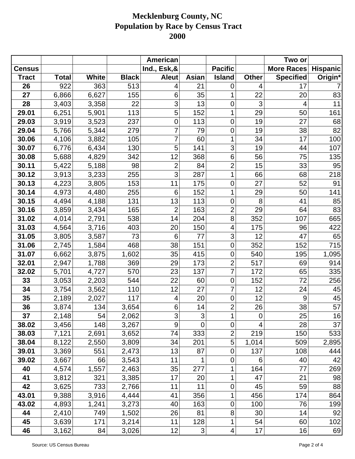|               |              |              |              | American                  |                           |                          |              | Two or            |                 |
|---------------|--------------|--------------|--------------|---------------------------|---------------------------|--------------------------|--------------|-------------------|-----------------|
| <b>Census</b> |              |              |              | Ind., Esk,&               |                           | <b>Pacific</b>           |              | <b>More Races</b> | <b>Hispanic</b> |
| <b>Tract</b>  | <b>Total</b> | <b>White</b> | <b>Black</b> | <b>Aleut</b>              | <b>Asian</b>              | <b>Island</b>            | <b>Other</b> | <b>Specified</b>  | Origin*         |
| 26            | 922          | 363          | 513          | 4                         | 21                        | $\mathbf 0$              | 4            | 17                |                 |
| 27            | 6,866        | 6,627        | 155          | 6                         | 35                        | 1                        | 22           | 20                | 83              |
| 28            | 3,403        | 3,358        | 22           | 3                         | 13                        | $\mathbf 0$              | 3            | 4                 | 11              |
| 29.01         | 6,251        | 5,901        | 113          | 5                         | 152                       | 1                        | 29           | 50                | 161             |
| 29.03         | 3,919        | 3,523        | 237          | 0                         | 113                       | $\overline{0}$           | 19           | 27                | 68              |
| 29.04         | 5,766        | 5,344        | 279          | $\overline{7}$            | 79                        | $\mathbf 0$              | 19           | 38                | 82              |
| 30.06         | 4,106        | 3,882        | 105          | 7                         | 60                        | 1                        | 34           | 17                | 100             |
| 30.07         | 6,776        | 6,434        | 130          | 5                         | 141                       | 3                        | 19           | 44                | 107             |
| 30.08         | 5,688        | 4,829        | 342          | 12                        | 368                       | $6\phantom{1}6$          | 56           | 75                | 135             |
| 30.11         | 5,422        | 5,188        | 98           | $\overline{2}$            | 84                        | $\overline{c}$           | 15           | 33                | 95              |
| 30.12         | 3,913        | 3,233        | 255          | $\overline{3}$            | 287                       | 1                        | 66           | 68                | 218             |
| 30.13         | 4,223        | 3,805        | 153          | 11                        | 175                       | $\mathbf 0$              | 27           | 52                | 91              |
| 30.14         | 4,973        | 4,480        | 255          | 6                         | 152                       | 1                        | 29           | 50                | 141             |
| 30.15         | 4,494        | 4,188        | 131          | 13                        | 113                       | $\mathbf 0$              | 8            | 41                | 85              |
| 30.16         | 3,859        | 3,434        | 165          | $\overline{2}$            | 163                       | $\overline{2}$           | 29           | 64                | 83              |
| 31.02         | 4,014        | 2,791        | 538          | 14                        | 204                       | 8                        | 352          | 107               | 665             |
| 31.03         | 4,564        | 3,716        | 403          | 20                        | 150                       | $\overline{4}$           | 175          | 96                | 422             |
| 31.05         | 3,805        | 3,587        | 73           | 6                         | 77                        | 3                        | 12           | 47                | 65              |
| 31.06         | 2,745        | 1,584        | 468          | 38                        | 151                       | $\mathbf 0$              | 352          | 152               | 715             |
| 31.07         | 6,662        | 3,875        | 1,602        | 35                        | 415                       | $\mathbf 0$              | 540          | 195               | 1,095           |
| 32.01         | 2,947        | 1,788        | 369          | 29                        | 173                       | $\overline{c}$           | 517          | 69                | 914             |
| 32.02         | 5,701        | 4,727        | 570          | 23                        | 137                       | $\overline{7}$           | 172          | 65                | 335             |
| 33            | 3,053        | 2,203        | 544          | 22                        | 60                        | $\mathbf 0$              | 152          | 72                | 256             |
| 34            | 3,754        | 3,562        | 110          | 12                        | 27                        | 7                        | 12           | 24                | 45              |
| 35            | 2,189        | 2,027        | 117          | 4                         | 20                        | $\mathbf 0$              | 12           | 9                 | 45              |
| 36            | 3,874        | 134          | 3,654        | 6                         | 14                        | $\overline{c}$           | 26           | 38                | 57              |
| 37            | 2,148        | 54           | 2,062        | $\ensuremath{\mathsf{3}}$ | 3                         | 1                        | $\mathbf 0$  | 25                | 16              |
| 38.02         | 3,456        | 148          | 3,267        | 9                         | $\overline{0}$            | $\mathbf 0$              | 4            | 28                | 37              |
| 38.03         | 7,121        | 2,691        | 3,652        | 74                        | 333                       | $\overline{2}$           | 219          | 150               | 533             |
| 38.04         | 8,122        | 2,550        | 3,809        | 34                        | 201                       | 5                        | 1,014        | 509               | 2,895           |
| 39.01         | 3,369        | 551          | 2,473        | 13                        | 87                        | $\mathbf 0$              | 137          | 108               | 444             |
| 39.02         | 3,667        | 66           | 3,543        | 11                        | 1                         | $\boldsymbol{0}$         | 6            | 40                | 42              |
| 40            | 4,574        | 1,557        | 2,463        | 35                        | 277                       | 1                        | 164          | 77                | 269             |
| 41            | 3,812        | 321          | 3,385        | 17                        | 20                        | 1                        | 47           | 21                | 98              |
| 42            | 3,625        | 733          | 2,766        | 11                        | 11                        | $\mathbf 0$              | 45           | 59                | 88              |
| 43.01         | 9,388        | 3,916        | 4,444        | 41                        | 356                       | 1                        | 456          | 174               | 864             |
| 43.02         | 4,893        | 1,241        | 3,273        | 40                        | 163                       | $\mathbf 0$              | 100          | 76                | 199             |
| 44            | 2,410        | 749          | 1,502        | 26                        | 81                        | 8                        | 30           | 14                | 92              |
| 45            | 3,639        | 171          | 3,214        | 11                        | 128                       | 1                        | 54           | 60                | 102             |
| 46            | 3,162        | 84           | 3,026        | 12                        | $\ensuremath{\mathsf{3}}$ | $\overline{\mathcal{A}}$ | 17           | 16                | 69              |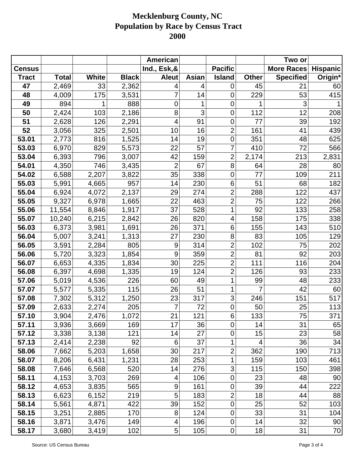|               |              |       |              | American       |       |                  |              | Two or            |                 |
|---------------|--------------|-------|--------------|----------------|-------|------------------|--------------|-------------------|-----------------|
| <b>Census</b> |              |       |              | Ind., Esk,&    |       | <b>Pacific</b>   |              | <b>More Races</b> | <b>Hispanic</b> |
| <b>Tract</b>  | <b>Total</b> | White | <b>Black</b> | <b>Aleut</b>   | Asian | <b>Island</b>    | <b>Other</b> | <b>Specified</b>  | Origin*         |
| 47            | 2,469        | 33    | 2,362        | 4              | 4     | 0                | 45           | 21                | 60              |
| 48            | 4,009        | 175   | 3,531        | 7              | 14    | $\overline{0}$   | 229          | 53                | 415             |
| 49            | 894          |       | 888          | 0              | 1     | $\mathbf 0$      |              | 3                 |                 |
| 50            | 2,424        | 103   | 2,186        | 8              | 3     | $\mathbf 0$      | 112          | 12                | 208             |
| 51            | 2,628        | 126   | 2,291        | 4              | 91    | $\mathbf 0$      | 77           | 39                | 192             |
| 52            | 3,056        | 325   | 2,501        | 10             | 16    | $\overline{2}$   | 161          | 41                | 439             |
| 53.01         | 2,773        | 816   | 1,525        | 14             | 19    | $\mathbf 0$      | 351          | 48                | 625             |
| 53.03         | 6,970        | 829   | 5,573        | 22             | 57    | 7                | 410          | 72                | 566             |
| 53.04         | 6,393        | 796   | 3,007        | 42             | 159   | $\overline{2}$   | 2,174        | 213               | 2,831           |
| 54.01         | 4,350        | 746   | 3,435        | $\overline{2}$ | 67    | 8                | 64           | 28                | 80              |
| 54.02         | 6,588        | 2,207 | 3,822        | 35             | 338   | $\overline{0}$   | 77           | 109               | 211             |
| 55.03         | 5,991        | 4,665 | 957          | 14             | 230   | 6                | 51           | 68                | 182             |
| 55.04         | 6,924        | 4,072 | 2,137        | 29             | 274   | $\overline{2}$   | 288          | 122               | 437             |
| 55.05         | 9,327        | 6,978 | 1,665        | 22             | 463   | $\overline{2}$   | 75           | 122               | 266             |
| 55.06         | 11,554       | 8,846 | 1,917        | 37             | 528   | 1                | 92           | 133               | 258             |
| 55.07         | 10,240       | 6,215 | 2,842        | 26             | 820   | 4                | 158          | 175               | 338             |
| 56.03         | 6,373        | 3,981 | 1,691        | 26             | 371   | 6                | 155          | 143               | 510             |
| 56.04         | 5,007        | 3,241 | 1,313        | 27             | 230   | 8                | 83           | 105               | 129             |
| 56.05         | 3,591        | 2,284 | 805          | 9              | 314   | $\overline{2}$   | 102          | 75                | 202             |
| 56.06         | 5,720        | 3,323 | 1,854        | 9              | 359   | $\overline{2}$   | 81           | 92                | 203             |
| 56.07         | 6,653        | 4,335 | 1,834        | 30             | 225   | $\overline{2}$   | 111          | 116               | 204             |
| 56.08         | 6,397        | 4,698 | 1,335        | 19             | 124   | $\overline{2}$   | 126          | 93                | 233             |
| 57.06         | 5,019        | 4,536 | 226          | 60             | 49    | 1                | 99           | 48                | 233             |
| 57.07         | 5,577        | 5,335 | 115          | 26             | 51    | 1                | 7            | 42                | 60              |
| 57.08         | 7,302        | 5,312 | 1,250        | 23             | 317   | 3                | 246          | 151               | 517             |
| 57.09         | 2,633        | 2,274 | 205          | 7              | 72    | $\mathbf 0$      | 50           | 25                | 113             |
| 57.10         | 3,904        | 2,476 | 1,072        | 21             | 121   | $\,6$            | 133          | 75                | 371             |
| 57.11         | 3,936        | 3,669 | 169          | 17             | 36    | $\mathbf 0$      | 14           | 31                | 65              |
| 57.12         | 3,338        | 3,138 | 121          | 14             | 27    | $\mathbf 0$      | 15           | 23                | 58              |
| 57.13         | 2,414        | 2,238 | 92           | 6              | 37    | 1                | 4            | 36                | 34              |
| 58.06         | 7,662        | 5,203 | 1,658        | 30             | 217   | $\overline{2}$   | 362          | 190               | 713             |
| 58.07         | 8,206        | 6,431 | 1,231        | 28             | 253   | 1                | 159          | 103               | 461             |
| 58.08         | 7,646        | 6,568 | 520          | 14             | 276   | $\mathfrak{S}$   | 115          | 150               | 398             |
| 58.11         | 4,153        | 3,703 | 269          | 4              | 106   | $\pmb{0}$        | 23           | 48                | 90              |
| 58.12         | 4,653        | 3,835 | 565          | 9              | 161   | $\boldsymbol{0}$ | 39           | 44                | 222             |
| 58.13         | 6,623        | 6,152 | 219          | 5              | 183   | $\overline{2}$   | 18           | 44                | 88              |
| 58.14         | 5,561        | 4,871 | 422          | 39             | 152   | $\pmb{0}$        | 25           | 52                | 103             |
| 58.15         | 3,251        | 2,885 | 170          | 8              | 124   | $\mathbf 0$      | 33           | 31                | 104             |
| 58.16         | 3,871        | 3,476 | 149          | 4              | 196   | $\pmb{0}$        | 14           | 32                | 90              |
| 58.17         | 3,680        | 3,419 | 102          | 5              | 105   | $\pmb{0}$        | 18           | 31                | 70              |